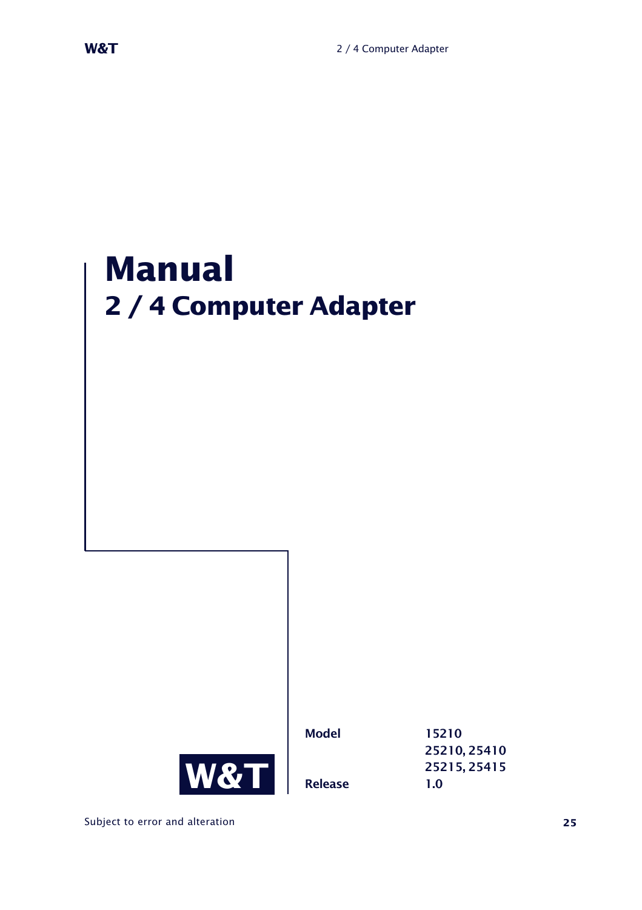# **Manual 2 / 4 Computer Adapter**

**Model 15210 25210, 25410 W&T** Release 25215, 25415

Subject to error and alteration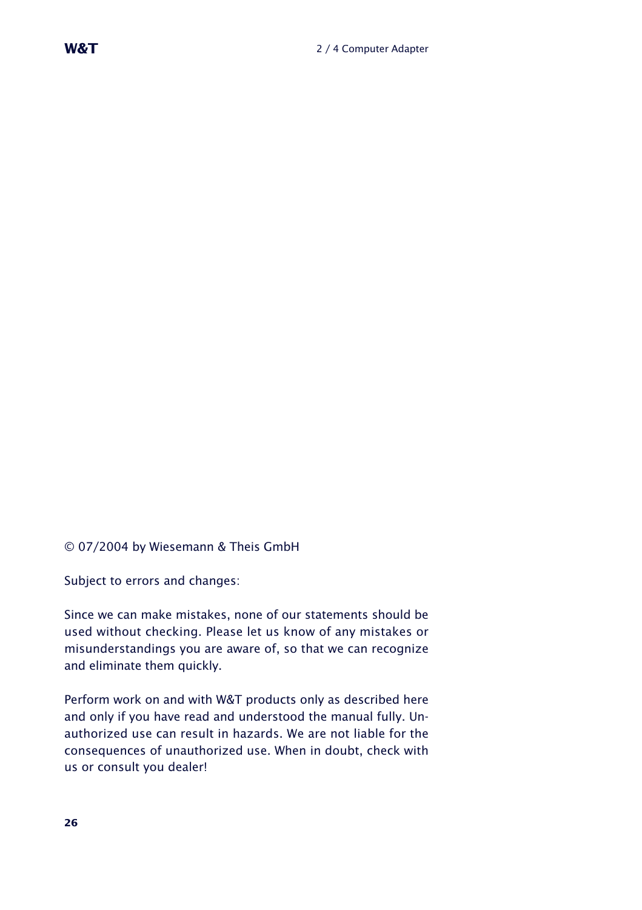© 07/2004 by Wiesemann & Theis GmbH

Subject to errors and changes:

Since we can make mistakes, none of our statements should be used without checking. Please let us know of any mistakes or misunderstandings you are aware of, so that we can recognize and eliminate them quickly.

Perform work on and with W&T products only as described here and only if you have read and understood the manual fully. Unauthorized use can result in hazards. We are not liable for the consequences of unauthorized use. When in doubt, check with us or consult you dealer!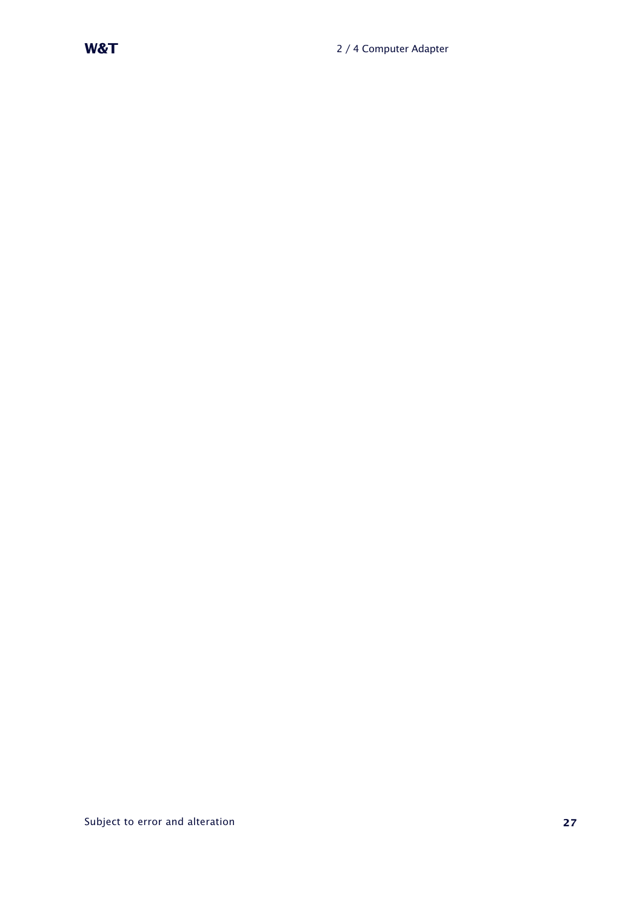

Subject to error and alteration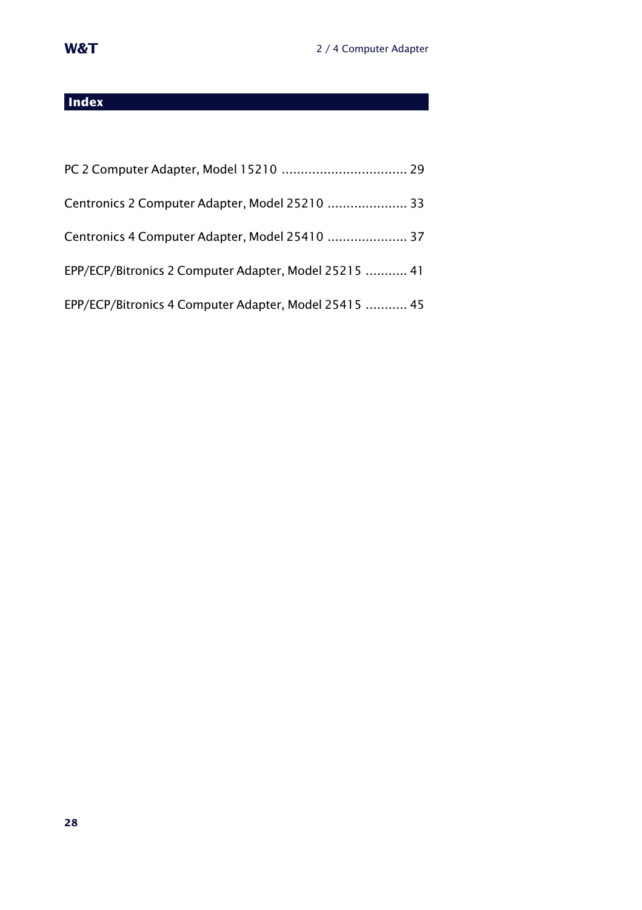## **Inhalt Index**

| Centronics 2 Computer Adapter, Model 25210  33        |  |
|-------------------------------------------------------|--|
| Centronics 4 Computer Adapter, Model 25410  37        |  |
| EPP/ECP/Bitronics 2 Computer Adapter, Model 25215  41 |  |
| EPP/ECP/Bitronics 4 Computer Adapter, Model 25415  45 |  |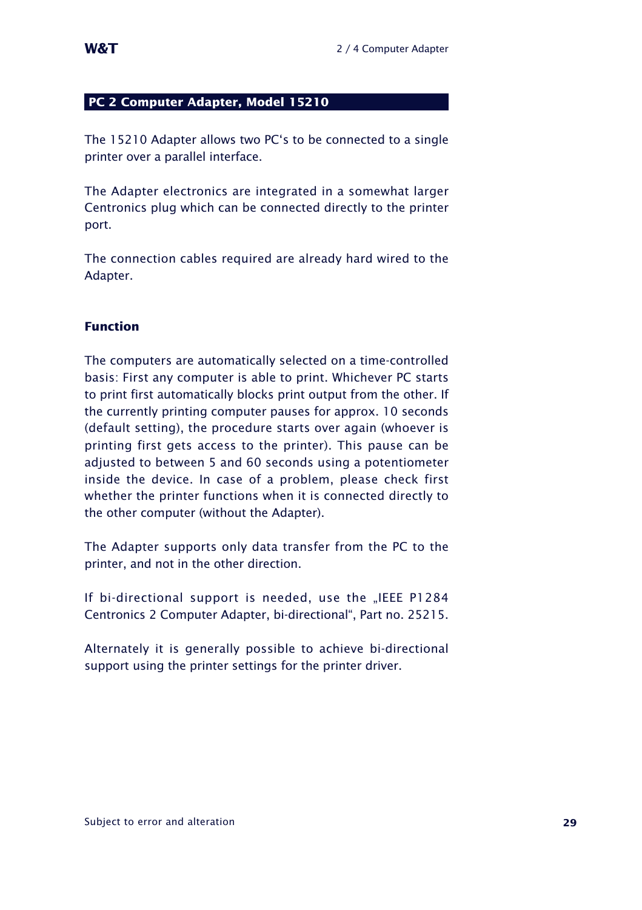# **PC 2 Computer Adapter, Model 15210**

The 15210 Adapter allows two PC's to be connected to a single printer over a parallel interface.

The Adapter electronics are integrated in a somewhat larger Centronics plug which can be connected directly to the printer port.

The connection cables required are already hard wired to the Adapter.

## **Function**

The computers are automatically selected on a time-controlled basis: First any computer is able to print. Whichever PC starts to print first automatically blocks print output from the other. If the currently printing computer pauses for approx. 10 seconds (default setting), the procedure starts over again (whoever is printing first gets access to the printer). This pause can be adjusted to between 5 and 60 seconds using a potentiometer inside the device. In case of a problem, please check first whether the printer functions when it is connected directly to the other computer (without the Adapter).

The Adapter supports only data transfer from the PC to the printer, and not in the other direction.

If bi-directional support is needed, use the "IEEE P1284 Centronics 2 Computer Adapter, bi-directional", Part no. 25215.

Alternately it is generally possible to achieve bi-directional support using the printer settings for the printer driver.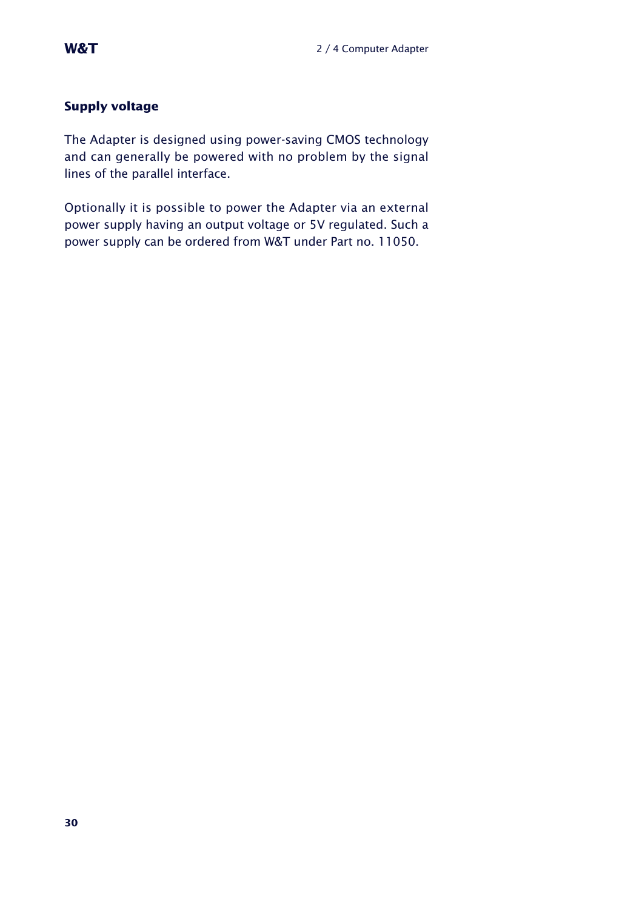# **Supply voltage**

The Adapter is designed using power-saving CMOS technology and can generally be powered with no problem by the signal lines of the parallel interface.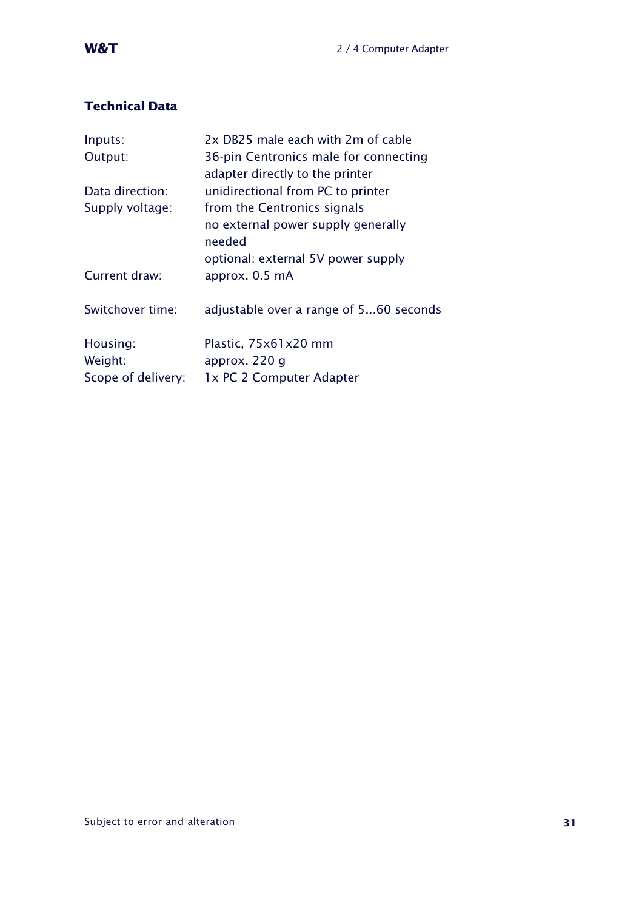| Inputs:            | 2x DB25 male each with 2m of cable     |
|--------------------|----------------------------------------|
| Output:            | 36-pin Centronics male for connecting  |
|                    | adapter directly to the printer        |
| Data direction:    | unidirectional from PC to printer      |
| Supply voltage:    | from the Centronics signals            |
|                    | no external power supply generally     |
|                    | needed                                 |
|                    | optional: external 5V power supply     |
| Current draw:      | approx. 0.5 mA                         |
| Switchover time:   | adjustable over a range of 560 seconds |
| Housing:           | Plastic, 75x61x20 mm                   |
| Weight:            | approx. 220 q                          |
| Scope of delivery: | 1x PC 2 Computer Adapter               |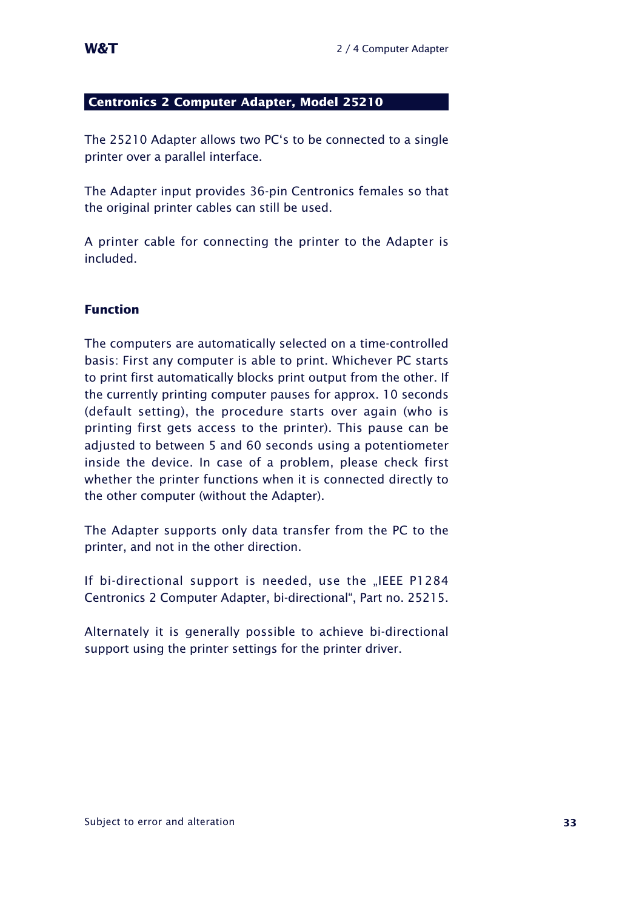## **Centronics 2 Computer Adapter, Model 25210**

The 25210 Adapter allows two PC's to be connected to a single printer over a parallel interface.

The Adapter input provides 36-pin Centronics females so that the original printer cables can still be used.

A printer cable for connecting the printer to the Adapter is included.

# **Function**

The computers are automatically selected on a time-controlled basis: First any computer is able to print. Whichever PC starts to print first automatically blocks print output from the other. If the currently printing computer pauses for approx. 10 seconds (default setting), the procedure starts over again (who is printing first gets access to the printer). This pause can be adjusted to between 5 and 60 seconds using a potentiometer inside the device. In case of a problem, please check first whether the printer functions when it is connected directly to the other computer (without the Adapter).

The Adapter supports only data transfer from the PC to the printer, and not in the other direction.

If bi-directional support is needed, use the "IEEE P1284 Centronics 2 Computer Adapter, bi-directional", Part no. 25215.

Alternately it is generally possible to achieve bi-directional support using the printer settings for the printer driver.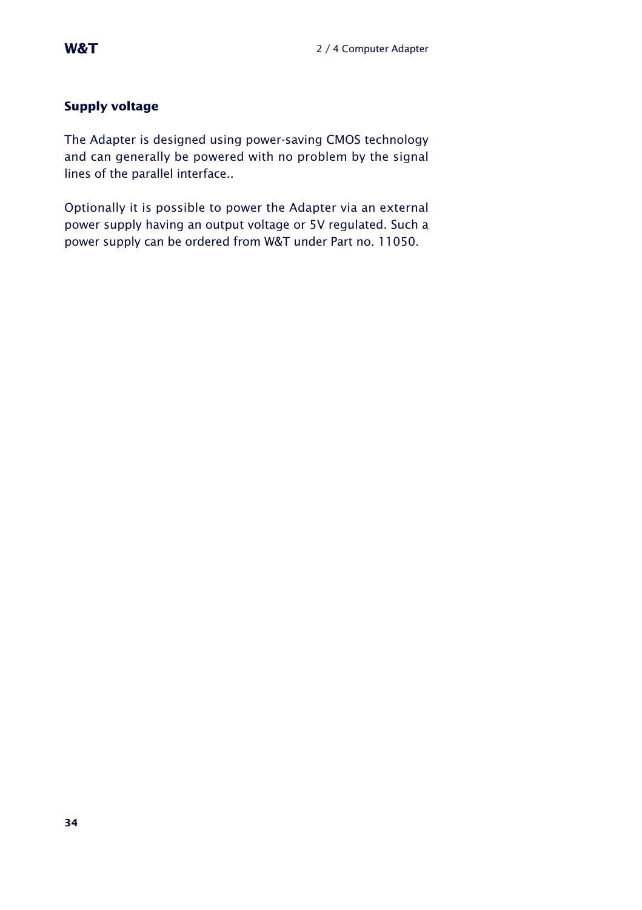# **Supply voltage**

The Adapter is designed using power-saving CMOS technology and can generally be powered with no problem by the signal lines of the parallel interface..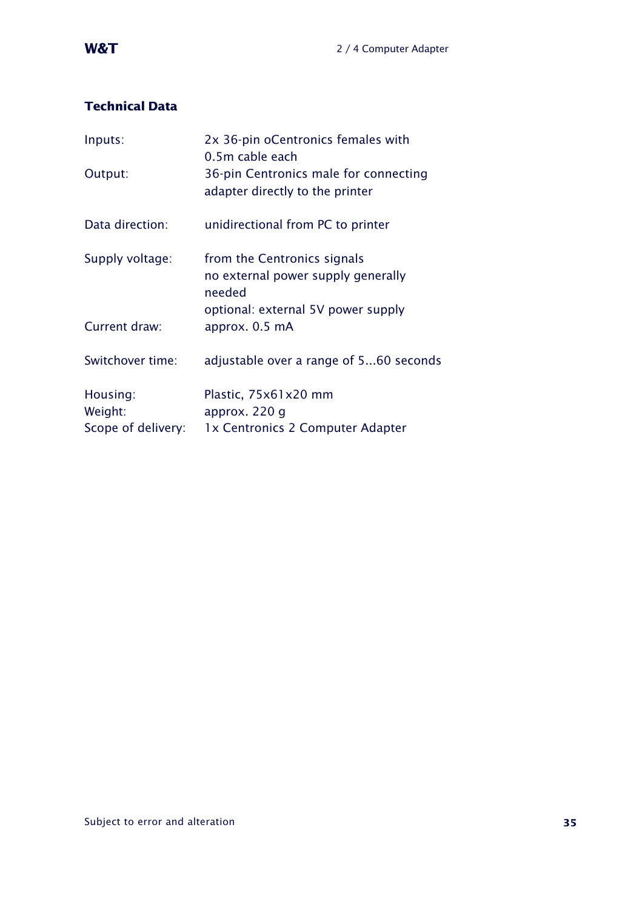| Inputs:                                   | 2x 36-pin oCentronics females with<br>0.5m cable each                                                                               |
|-------------------------------------------|-------------------------------------------------------------------------------------------------------------------------------------|
| Output:                                   | 36-pin Centronics male for connecting<br>adapter directly to the printer                                                            |
| Data direction:                           | unidirectional from PC to printer                                                                                                   |
| Supply voltage:<br>Current draw:          | from the Centronics signals<br>no external power supply generally<br>needed<br>optional: external 5V power supply<br>approx. 0.5 mA |
| Switchover time:                          | adjustable over a range of 560 seconds                                                                                              |
| Housing:<br>Weight:<br>Scope of delivery: | Plastic, 75x61x20 mm<br>approx. 220 q<br>1x Centronics 2 Computer Adapter                                                           |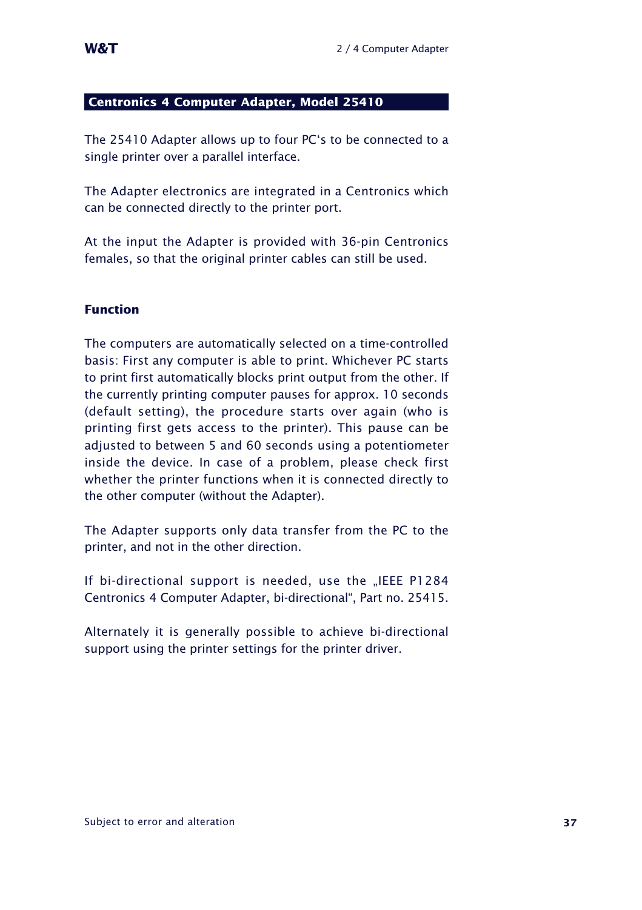### **Centronics 4 Computer Adapter, Model 25410**

The 25410 Adapter allows up to four PC's to be connected to a single printer over a parallel interface.

The Adapter electronics are integrated in a Centronics which can be connected directly to the printer port.

At the input the Adapter is provided with 36-pin Centronics females, so that the original printer cables can still be used.

## **Function**

The computers are automatically selected on a time-controlled basis: First any computer is able to print. Whichever PC starts to print first automatically blocks print output from the other. If the currently printing computer pauses for approx. 10 seconds (default setting), the procedure starts over again (who is printing first gets access to the printer). This pause can be adjusted to between 5 and 60 seconds using a potentiometer inside the device. In case of a problem, please check first whether the printer functions when it is connected directly to the other computer (without the Adapter).

The Adapter supports only data transfer from the PC to the printer, and not in the other direction.

If bi-directional support is needed, use the "IEEE P1284 Centronics 4 Computer Adapter, bi-directional", Part no. 25415.

Alternately it is generally possible to achieve bi-directional support using the printer settings for the printer driver.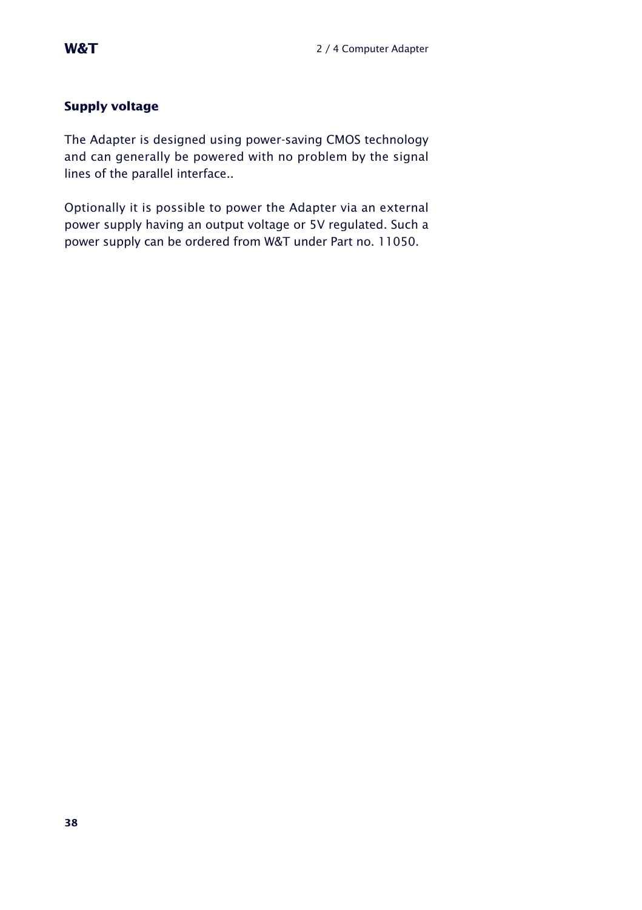# **Supply voltage**

The Adapter is designed using power-saving CMOS technology and can generally be powered with no problem by the signal lines of the parallel interface..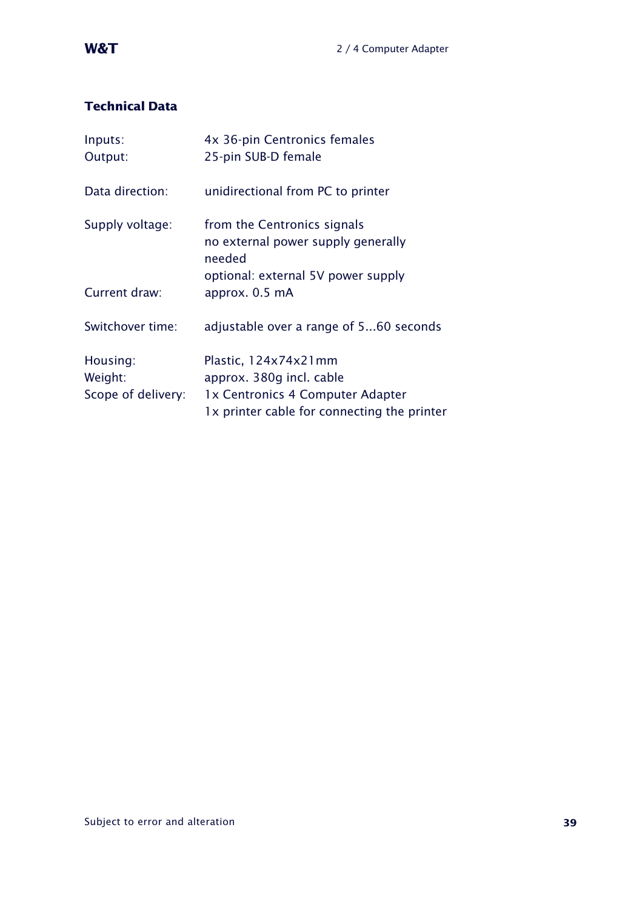| Inputs:<br>Output:                        | 4x 36-pin Centronics females<br>25-pin SUB-D female                                                                                 |
|-------------------------------------------|-------------------------------------------------------------------------------------------------------------------------------------|
| Data direction:                           | unidirectional from PC to printer                                                                                                   |
| Supply voltage:<br>Current draw:          | from the Centronics signals<br>no external power supply generally<br>needed<br>optional: external 5V power supply<br>approx. 0.5 mA |
| Switchover time:                          | adjustable over a range of 560 seconds                                                                                              |
| Housing:<br>Weight:<br>Scope of delivery: | Plastic, 124x74x21mm<br>approx. 380g incl. cable<br>1x Centronics 4 Computer Adapter<br>1x printer cable for connecting the printer |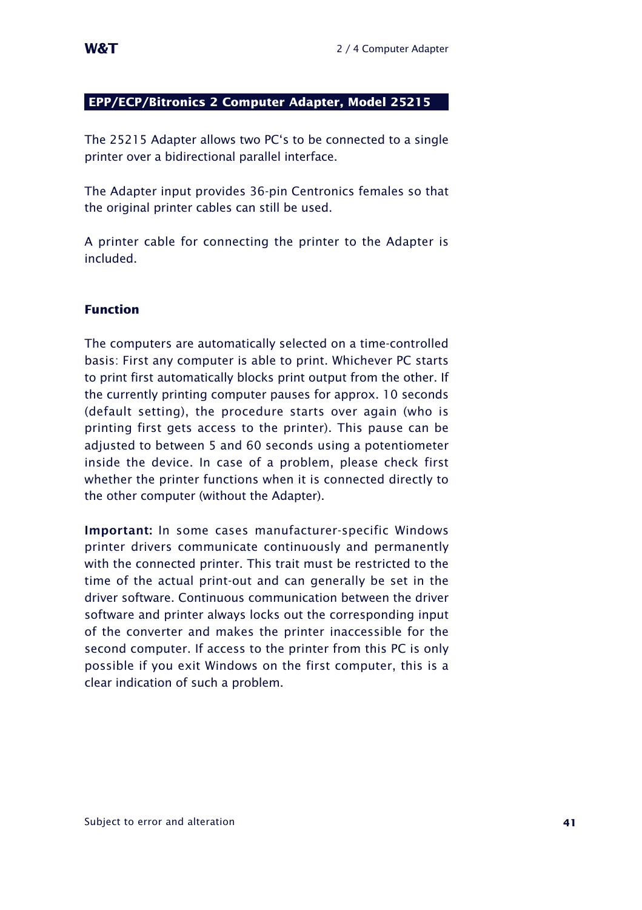## **EPP/ECP/Bitronics 2 Computer Adapter, Model 25215**

The 25215 Adapter allows two PC's to be connected to a single printer over a bidirectional parallel interface.

The Adapter input provides 36-pin Centronics females so that the original printer cables can still be used.

A printer cable for connecting the printer to the Adapter is included.

#### **Function**

The computers are automatically selected on a time-controlled basis: First any computer is able to print. Whichever PC starts to print first automatically blocks print output from the other. If the currently printing computer pauses for approx. 10 seconds (default setting), the procedure starts over again (who is printing first gets access to the printer). This pause can be adjusted to between 5 and 60 seconds using a potentiometer inside the device. In case of a problem, please check first whether the printer functions when it is connected directly to the other computer (without the Adapter).

**Important:** In some cases manufacturer-specific Windows printer drivers communicate continuously and permanently with the connected printer. This trait must be restricted to the time of the actual print-out and can generally be set in the driver software. Continuous communication between the driver software and printer always locks out the corresponding input of the converter and makes the printer inaccessible for the second computer. If access to the printer from this PC is only possible if you exit Windows on the first computer, this is a clear indication of such a problem.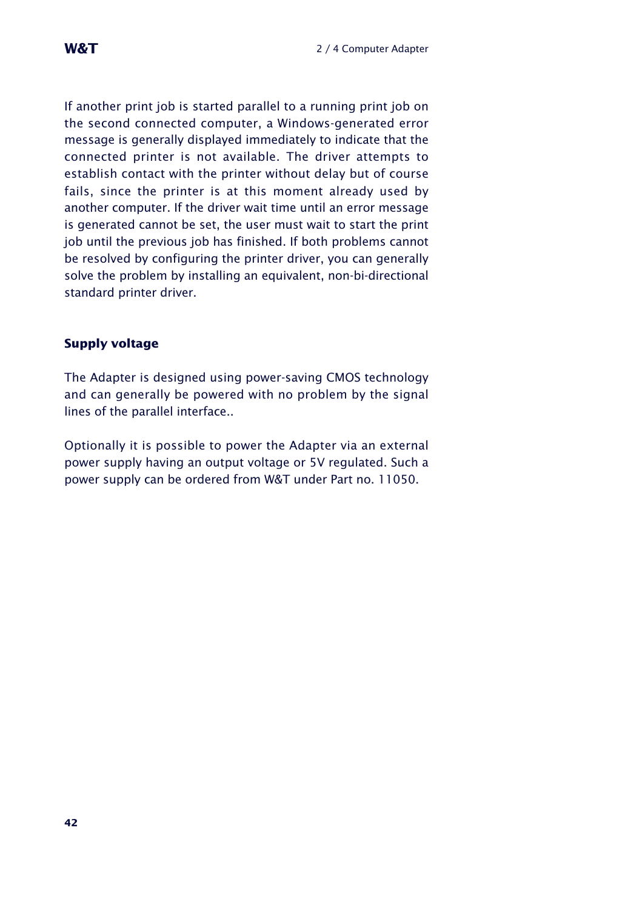If another print job is started parallel to a running print job on the second connected computer, a Windows-generated error message is generally displayed immediately to indicate that the connected printer is not available. The driver attempts to establish contact with the printer without delay but of course fails, since the printer is at this moment already used by another computer. If the driver wait time until an error message is generated cannot be set, the user must wait to start the print job until the previous job has finished. If both problems cannot be resolved by configuring the printer driver, you can generally solve the problem by installing an equivalent, non-bi-directional standard printer driver.

#### **Supply voltage**

The Adapter is designed using power-saving CMOS technology and can generally be powered with no problem by the signal lines of the parallel interface..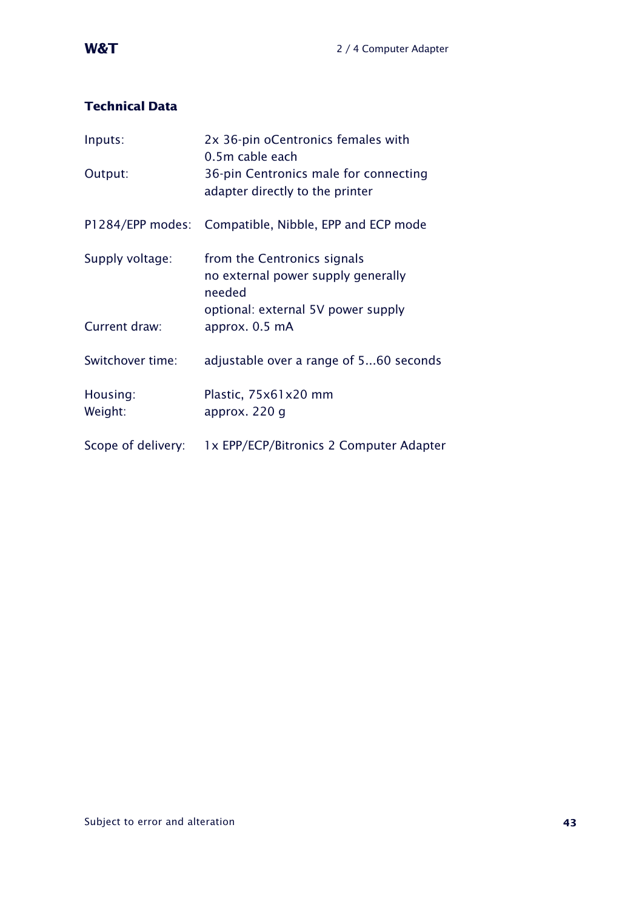| Inputs:                          | 2x 36-pin oCentronics females with<br>0.5m cable each                                                                               |
|----------------------------------|-------------------------------------------------------------------------------------------------------------------------------------|
| Output:                          | 36-pin Centronics male for connecting<br>adapter directly to the printer                                                            |
| P1284/EPP modes:                 | Compatible, Nibble, EPP and ECP mode                                                                                                |
| Supply voltage:<br>Current draw: | from the Centronics signals<br>no external power supply generally<br>needed<br>optional: external 5V power supply<br>approx. 0.5 mA |
| Switchover time:                 | adjustable over a range of 560 seconds                                                                                              |
| Housing:<br>Weight:              | Plastic, 75x61x20 mm<br>approx. 220 q                                                                                               |
| Scope of delivery:               | 1x EPP/ECP/Bitronics 2 Computer Adapter                                                                                             |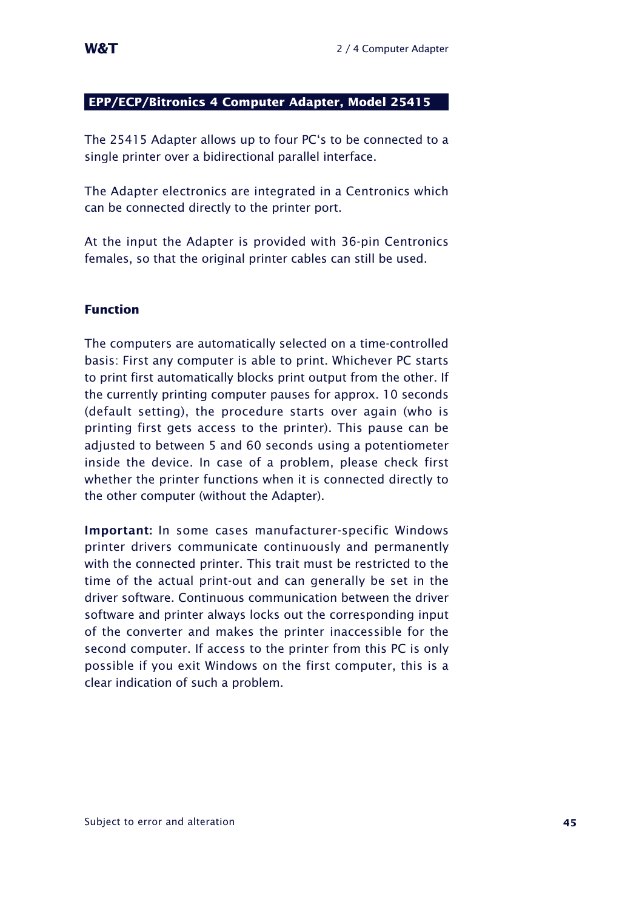### **EPP/ECP/Bitronics 4 Computer Adapter, Model 25415**

The 25415 Adapter allows up to four PC's to be connected to a single printer over a bidirectional parallel interface.

The Adapter electronics are integrated in a Centronics which can be connected directly to the printer port.

At the input the Adapter is provided with 36-pin Centronics females, so that the original printer cables can still be used.

#### **Function**

The computers are automatically selected on a time-controlled basis: First any computer is able to print. Whichever PC starts to print first automatically blocks print output from the other. If the currently printing computer pauses for approx. 10 seconds (default setting), the procedure starts over again (who is printing first gets access to the printer). This pause can be adjusted to between 5 and 60 seconds using a potentiometer inside the device. In case of a problem, please check first whether the printer functions when it is connected directly to the other computer (without the Adapter).

**Important:** In some cases manufacturer-specific Windows printer drivers communicate continuously and permanently with the connected printer. This trait must be restricted to the time of the actual print-out and can generally be set in the driver software. Continuous communication between the driver software and printer always locks out the corresponding input of the converter and makes the printer inaccessible for the second computer. If access to the printer from this PC is only possible if you exit Windows on the first computer, this is a clear indication of such a problem.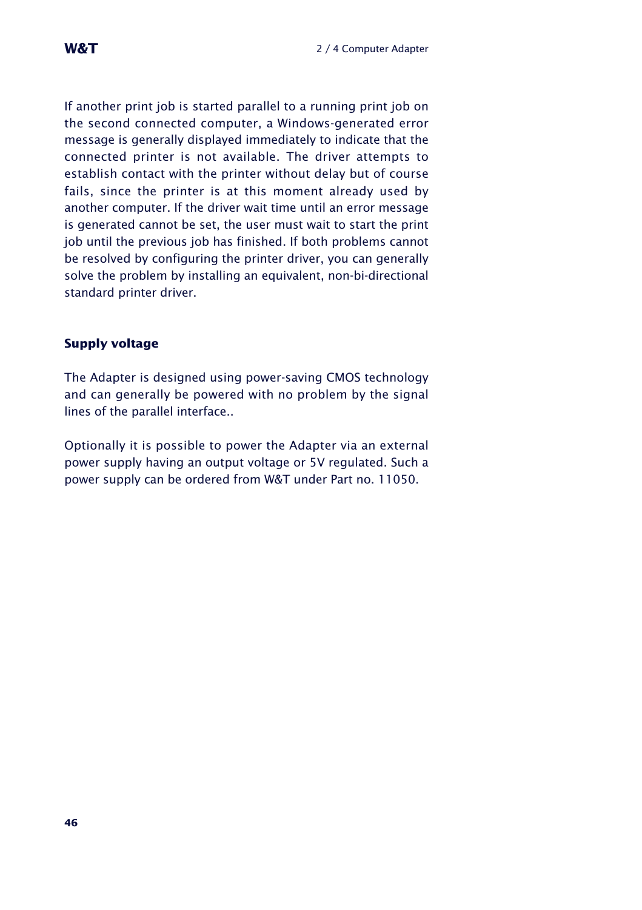If another print job is started parallel to a running print job on the second connected computer, a Windows-generated error message is generally displayed immediately to indicate that the connected printer is not available. The driver attempts to establish contact with the printer without delay but of course fails, since the printer is at this moment already used by another computer. If the driver wait time until an error message is generated cannot be set, the user must wait to start the print job until the previous job has finished. If both problems cannot be resolved by configuring the printer driver, you can generally solve the problem by installing an equivalent, non-bi-directional standard printer driver.

#### **Supply voltage**

The Adapter is designed using power-saving CMOS technology and can generally be powered with no problem by the signal lines of the parallel interface..